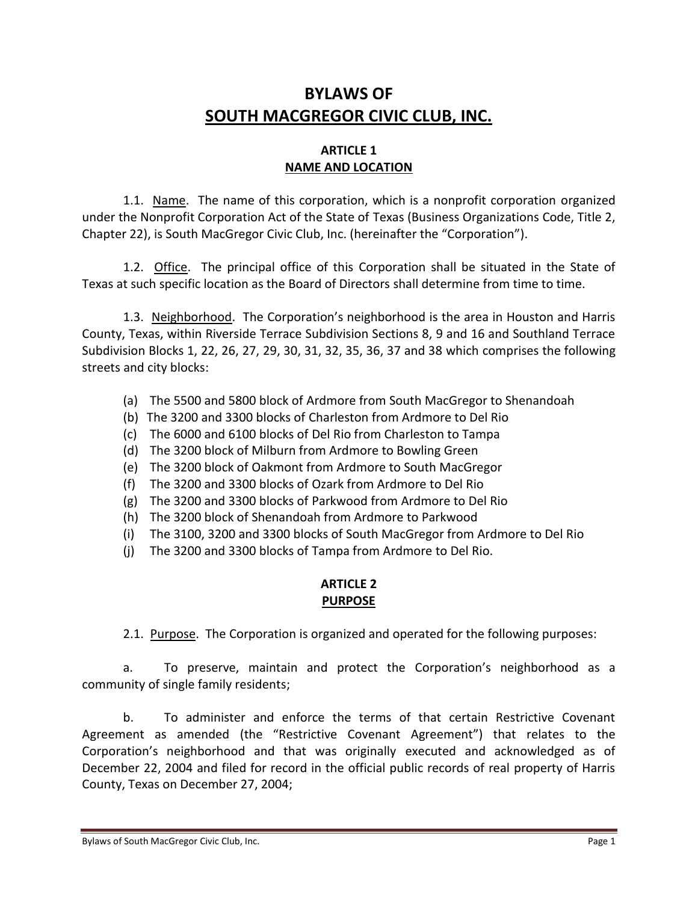# **BYLAWS OF SOUTH MACGREGOR CIVIC CLUB, INC.**

### **ARTICLE 1 NAME AND LOCATION**

1.1. Name. The name of this corporation, which is a nonprofit corporation organized under the Nonprofit Corporation Act of the State of Texas (Business Organizations Code, Title 2, Chapter 22), is South MacGregor Civic Club, Inc. (hereinafter the "Corporation").

1.2. Office. The principal office of this Corporation shall be situated in the State of Texas at such specific location as the Board of Directors shall determine from time to time.

1.3. Neighborhood. The Corporation's neighborhood is the area in Houston and Harris County, Texas, within Riverside Terrace Subdivision Sections 8, 9 and 16 and Southland Terrace Subdivision Blocks 1, 22, 26, 27, 29, 30, 31, 32, 35, 36, 37 and 38 which comprises the following streets and city blocks:

- (a) The 5500 and 5800 block of Ardmore from South MacGregor to Shenandoah
- (b) The 3200 and 3300 blocks of Charleston from Ardmore to Del Rio
- (c) The 6000 and 6100 blocks of Del Rio from Charleston to Tampa
- (d) The 3200 block of Milburn from Ardmore to Bowling Green
- (e) The 3200 block of Oakmont from Ardmore to South MacGregor
- (f) The 3200 and 3300 blocks of Ozark from Ardmore to Del Rio
- (g) The 3200 and 3300 blocks of Parkwood from Ardmore to Del Rio
- (h) The 3200 block of Shenandoah from Ardmore to Parkwood
- (i) The 3100, 3200 and 3300 blocks of South MacGregor from Ardmore to Del Rio
- (j) The 3200 and 3300 blocks of Tampa from Ardmore to Del Rio.

# **ARTICLE 2 PURPOSE**

2.1. Purpose. The Corporation is organized and operated for the following purposes:

a. To preserve, maintain and protect the Corporation's neighborhood as a community of single family residents;

b. To administer and enforce the terms of that certain Restrictive Covenant Agreement as amended (the "Restrictive Covenant Agreement") that relates to the Corporation's neighborhood and that was originally executed and acknowledged as of December 22, 2004 and filed for record in the official public records of real property of Harris County, Texas on December 27, 2004;

Bylaws of South MacGregor Civic Club, Inc. **Page 1 Page 1**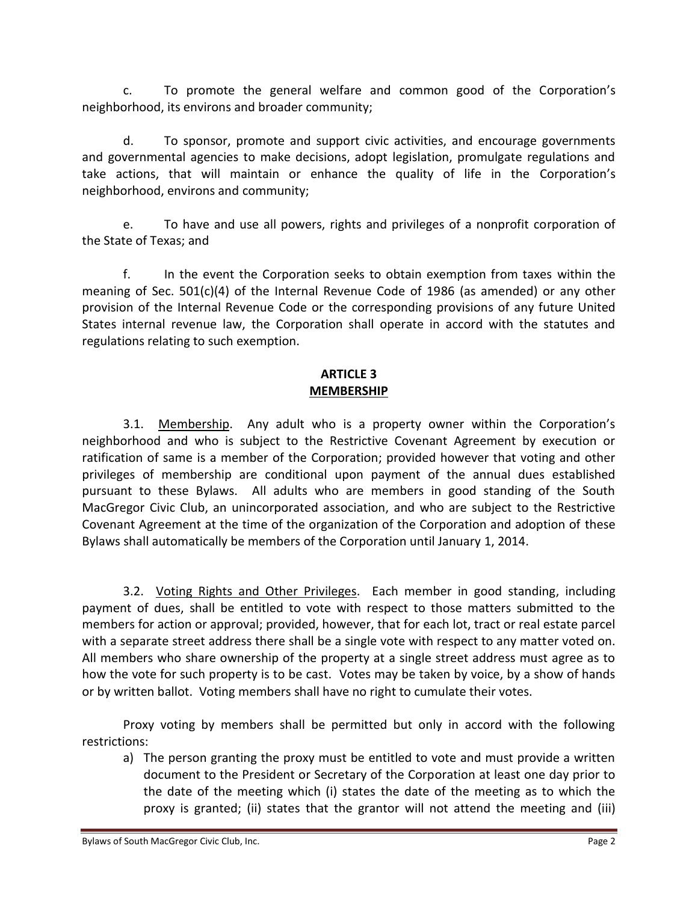c. To promote the general welfare and common good of the Corporation's neighborhood, its environs and broader community;

d. To sponsor, promote and support civic activities, and encourage governments and governmental agencies to make decisions, adopt legislation, promulgate regulations and take actions, that will maintain or enhance the quality of life in the Corporation's neighborhood, environs and community;

e. To have and use all powers, rights and privileges of a nonprofit corporation of the State of Texas; and

f. In the event the Corporation seeks to obtain exemption from taxes within the meaning of Sec. 501(c)(4) of the Internal Revenue Code of 1986 (as amended) or any other provision of the Internal Revenue Code or the corresponding provisions of any future United States internal revenue law, the Corporation shall operate in accord with the statutes and regulations relating to such exemption.

### **ARTICLE 3 MEMBERSHIP**

3.1. Membership. Any adult who is a property owner within the Corporation's neighborhood and who is subject to the Restrictive Covenant Agreement by execution or ratification of same is a member of the Corporation; provided however that voting and other privileges of membership are conditional upon payment of the annual dues established pursuant to these Bylaws. All adults who are members in good standing of the South MacGregor Civic Club, an unincorporated association, and who are subject to the Restrictive Covenant Agreement at the time of the organization of the Corporation and adoption of these Bylaws shall automatically be members of the Corporation until January 1, 2014.

3.2. Voting Rights and Other Privileges. Each member in good standing, including payment of dues, shall be entitled to vote with respect to those matters submitted to the members for action or approval; provided, however, that for each lot, tract or real estate parcel with a separate street address there shall be a single vote with respect to any matter voted on. All members who share ownership of the property at a single street address must agree as to how the vote for such property is to be cast. Votes may be taken by voice, by a show of hands or by written ballot. Voting members shall have no right to cumulate their votes.

Proxy voting by members shall be permitted but only in accord with the following restrictions:

a) The person granting the proxy must be entitled to vote and must provide a written document to the President or Secretary of the Corporation at least one day prior to the date of the meeting which (i) states the date of the meeting as to which the proxy is granted; (ii) states that the grantor will not attend the meeting and (iii)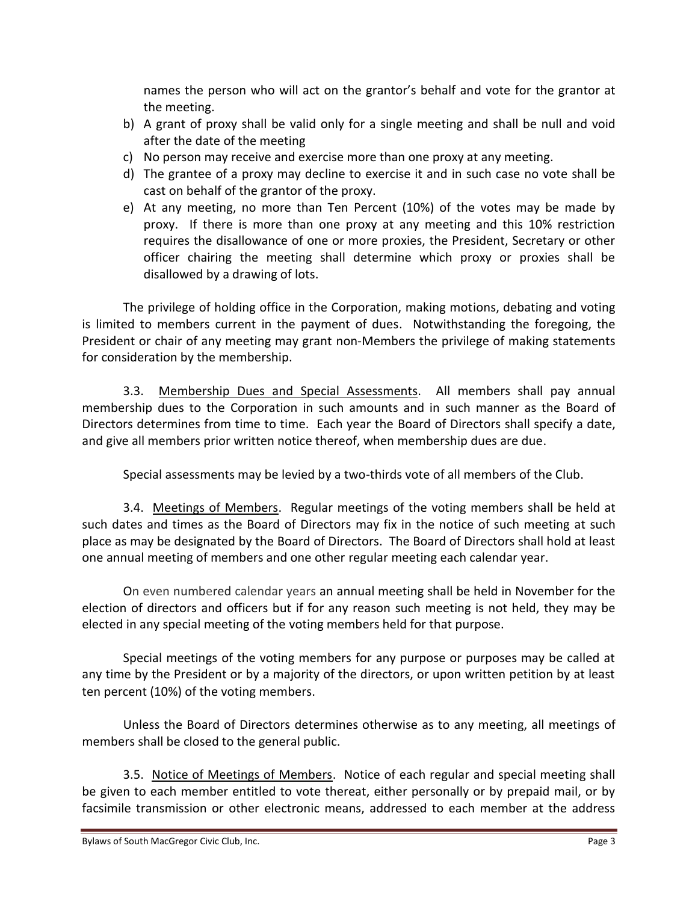names the person who will act on the grantor's behalf and vote for the grantor at the meeting.

- b) A grant of proxy shall be valid only for a single meeting and shall be null and void after the date of the meeting
- c) No person may receive and exercise more than one proxy at any meeting.
- d) The grantee of a proxy may decline to exercise it and in such case no vote shall be cast on behalf of the grantor of the proxy.
- e) At any meeting, no more than Ten Percent (10%) of the votes may be made by proxy. If there is more than one proxy at any meeting and this 10% restriction requires the disallowance of one or more proxies, the President, Secretary or other officer chairing the meeting shall determine which proxy or proxies shall be disallowed by a drawing of lots.

The privilege of holding office in the Corporation, making motions, debating and voting is limited to members current in the payment of dues. Notwithstanding the foregoing, the President or chair of any meeting may grant non-Members the privilege of making statements for consideration by the membership.

3.3. Membership Dues and Special Assessments. All members shall pay annual membership dues to the Corporation in such amounts and in such manner as the Board of Directors determines from time to time. Each year the Board of Directors shall specify a date, and give all members prior written notice thereof, when membership dues are due.

Special assessments may be levied by a two-thirds vote of all members of the Club.

3.4. Meetings of Members. Regular meetings of the voting members shall be held at such dates and times as the Board of Directors may fix in the notice of such meeting at such place as may be designated by the Board of Directors. The Board of Directors shall hold at least one annual meeting of members and one other regular meeting each calendar year.

On even numbered calendar years an annual meeting shall be held in November for the election of directors and officers but if for any reason such meeting is not held, they may be elected in any special meeting of the voting members held for that purpose.

Special meetings of the voting members for any purpose or purposes may be called at any time by the President or by a majority of the directors, or upon written petition by at least ten percent (10%) of the voting members.

Unless the Board of Directors determines otherwise as to any meeting, all meetings of members shall be closed to the general public.

3.5. Notice of Meetings of Members. Notice of each regular and special meeting shall be given to each member entitled to vote thereat, either personally or by prepaid mail, or by facsimile transmission or other electronic means, addressed to each member at the address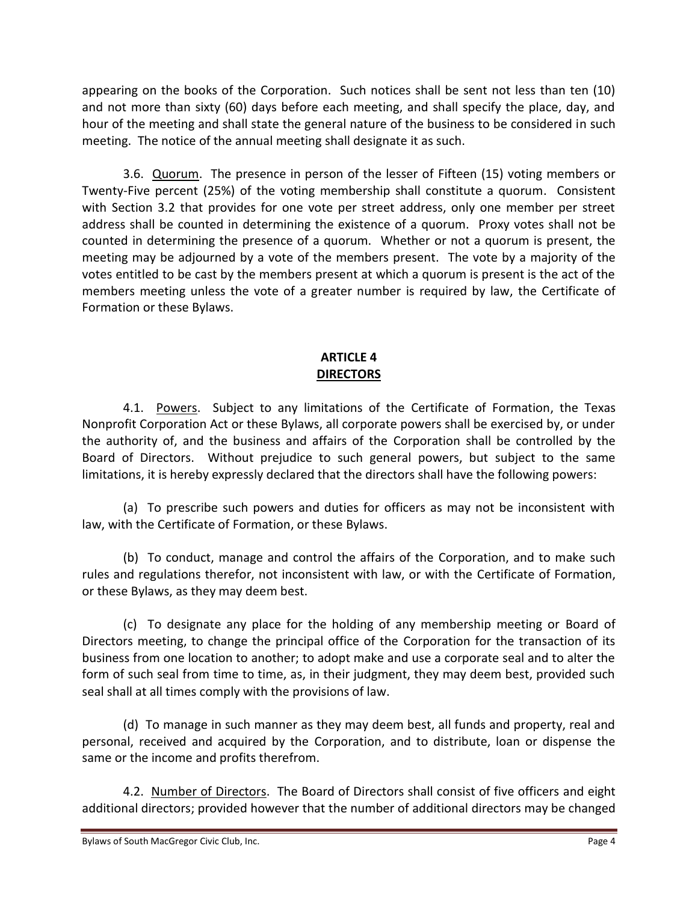appearing on the books of the Corporation. Such notices shall be sent not less than ten (10) and not more than sixty (60) days before each meeting, and shall specify the place, day, and hour of the meeting and shall state the general nature of the business to be considered in such meeting. The notice of the annual meeting shall designate it as such.

3.6. Quorum. The presence in person of the lesser of Fifteen (15) voting members or Twenty-Five percent (25%) of the voting membership shall constitute a quorum. Consistent with Section 3.2 that provides for one vote per street address, only one member per street address shall be counted in determining the existence of a quorum. Proxy votes shall not be counted in determining the presence of a quorum. Whether or not a quorum is present, the meeting may be adjourned by a vote of the members present. The vote by a majority of the votes entitled to be cast by the members present at which a quorum is present is the act of the members meeting unless the vote of a greater number is required by law, the Certificate of Formation or these Bylaws.

### **ARTICLE 4 DIRECTORS**

4.1. Powers. Subject to any limitations of the Certificate of Formation, the Texas Nonprofit Corporation Act or these Bylaws, all corporate powers shall be exercised by, or under the authority of, and the business and affairs of the Corporation shall be controlled by the Board of Directors. Without prejudice to such general powers, but subject to the same limitations, it is hereby expressly declared that the directors shall have the following powers:

(a) To prescribe such powers and duties for officers as may not be inconsistent with law, with the Certificate of Formation, or these Bylaws.

(b) To conduct, manage and control the affairs of the Corporation, and to make such rules and regulations therefor, not inconsistent with law, or with the Certificate of Formation, or these Bylaws, as they may deem best.

(c) To designate any place for the holding of any membership meeting or Board of Directors meeting, to change the principal office of the Corporation for the transaction of its business from one location to another; to adopt make and use a corporate seal and to alter the form of such seal from time to time, as, in their judgment, they may deem best, provided such seal shall at all times comply with the provisions of law.

(d) To manage in such manner as they may deem best, all funds and property, real and personal, received and acquired by the Corporation, and to distribute, loan or dispense the same or the income and profits therefrom.

4.2. Number of Directors. The Board of Directors shall consist of five officers and eight additional directors; provided however that the number of additional directors may be changed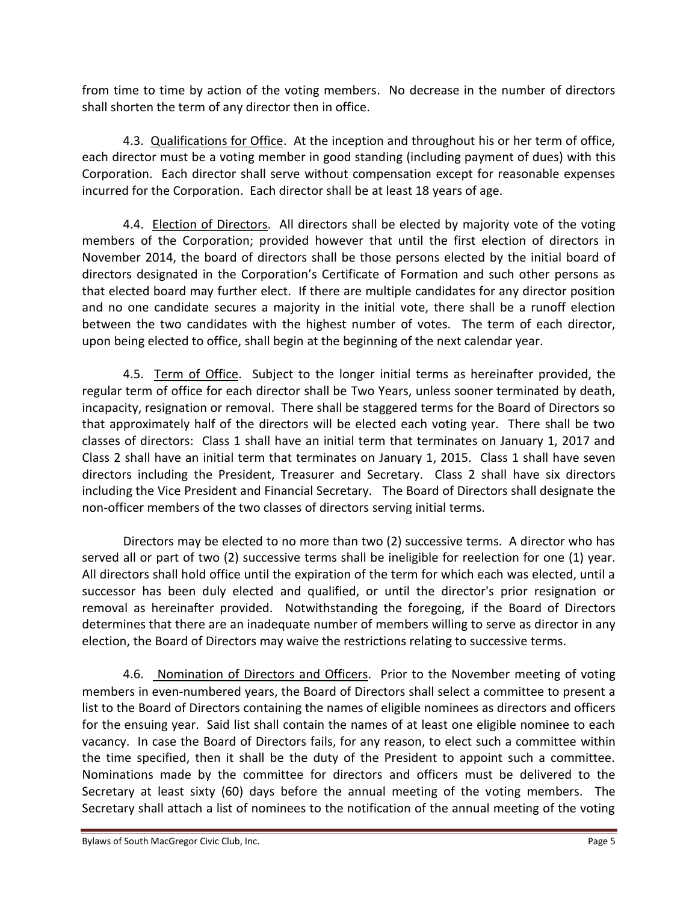from time to time by action of the voting members. No decrease in the number of directors shall shorten the term of any director then in office.

4.3. Qualifications for Office. At the inception and throughout his or her term of office, each director must be a voting member in good standing (including payment of dues) with this Corporation. Each director shall serve without compensation except for reasonable expenses incurred for the Corporation. Each director shall be at least 18 years of age.

4.4. Election of Directors. All directors shall be elected by majority vote of the voting members of the Corporation; provided however that until the first election of directors in November 2014, the board of directors shall be those persons elected by the initial board of directors designated in the Corporation's Certificate of Formation and such other persons as that elected board may further elect. If there are multiple candidates for any director position and no one candidate secures a majority in the initial vote, there shall be a runoff election between the two candidates with the highest number of votes. The term of each director, upon being elected to office, shall begin at the beginning of the next calendar year.

4.5. Term of Office. Subject to the longer initial terms as hereinafter provided, the regular term of office for each director shall be Two Years, unless sooner terminated by death, incapacity, resignation or removal. There shall be staggered terms for the Board of Directors so that approximately half of the directors will be elected each voting year. There shall be two classes of directors: Class 1 shall have an initial term that terminates on January 1, 2017 and Class 2 shall have an initial term that terminates on January 1, 2015. Class 1 shall have seven directors including the President, Treasurer and Secretary. Class 2 shall have six directors including the Vice President and Financial Secretary. The Board of Directors shall designate the non-officer members of the two classes of directors serving initial terms.

Directors may be elected to no more than two (2) successive terms. A director who has served all or part of two (2) successive terms shall be ineligible for reelection for one (1) year. All directors shall hold office until the expiration of the term for which each was elected, until a successor has been duly elected and qualified, or until the director's prior resignation or removal as hereinafter provided. Notwithstanding the foregoing, if the Board of Directors determines that there are an inadequate number of members willing to serve as director in any election, the Board of Directors may waive the restrictions relating to successive terms.

4.6. Nomination of Directors and Officers. Prior to the November meeting of voting members in even-numbered years, the Board of Directors shall select a committee to present a list to the Board of Directors containing the names of eligible nominees as directors and officers for the ensuing year. Said list shall contain the names of at least one eligible nominee to each vacancy. In case the Board of Directors fails, for any reason, to elect such a committee within the time specified, then it shall be the duty of the President to appoint such a committee. Nominations made by the committee for directors and officers must be delivered to the Secretary at least sixty (60) days before the annual meeting of the voting members. The Secretary shall attach a list of nominees to the notification of the annual meeting of the voting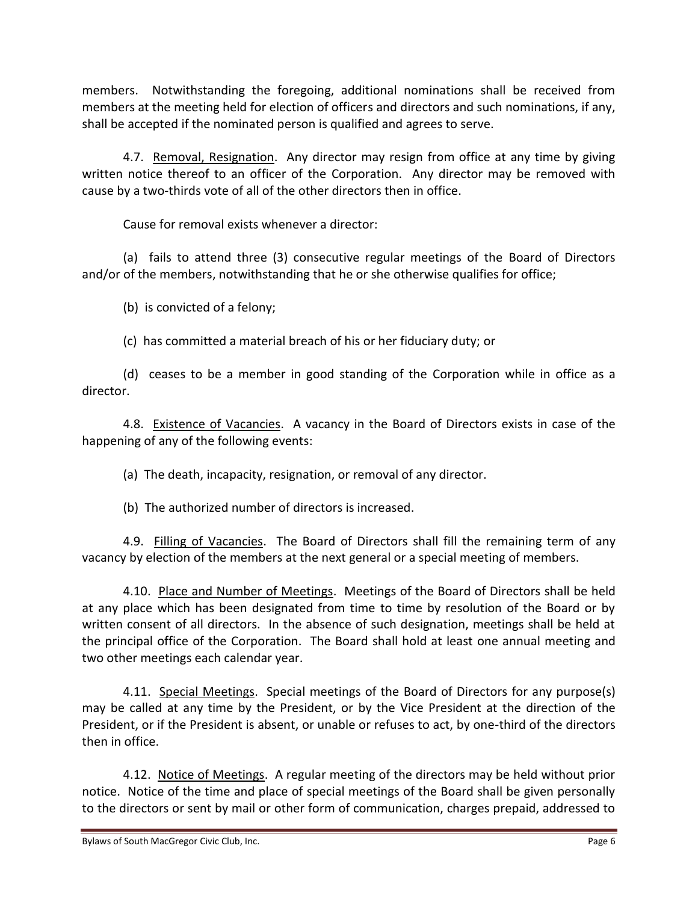members. Notwithstanding the foregoing, additional nominations shall be received from members at the meeting held for election of officers and directors and such nominations, if any, shall be accepted if the nominated person is qualified and agrees to serve.

4.7. Removal, Resignation. Any director may resign from office at any time by giving written notice thereof to an officer of the Corporation. Any director may be removed with cause by a two-thirds vote of all of the other directors then in office.

Cause for removal exists whenever a director:

(a) fails to attend three (3) consecutive regular meetings of the Board of Directors and/or of the members, notwithstanding that he or she otherwise qualifies for office;

(b) is convicted of a felony;

(c) has committed a material breach of his or her fiduciary duty; or

(d) ceases to be a member in good standing of the Corporation while in office as a director.

4.8. **Existence of Vacancies**. A vacancy in the Board of Directors exists in case of the happening of any of the following events:

(a) The death, incapacity, resignation, or removal of any director.

(b) The authorized number of directors is increased.

4.9. Filling of Vacancies. The Board of Directors shall fill the remaining term of any vacancy by election of the members at the next general or a special meeting of members.

4.10. Place and Number of Meetings. Meetings of the Board of Directors shall be held at any place which has been designated from time to time by resolution of the Board or by written consent of all directors. In the absence of such designation, meetings shall be held at the principal office of the Corporation. The Board shall hold at least one annual meeting and two other meetings each calendar year.

4.11. Special Meetings. Special meetings of the Board of Directors for any purpose(s) may be called at any time by the President, or by the Vice President at the direction of the President, or if the President is absent, or unable or refuses to act, by one-third of the directors then in office.

4.12. Notice of Meetings. A regular meeting of the directors may be held without prior notice. Notice of the time and place of special meetings of the Board shall be given personally to the directors or sent by mail or other form of communication, charges prepaid, addressed to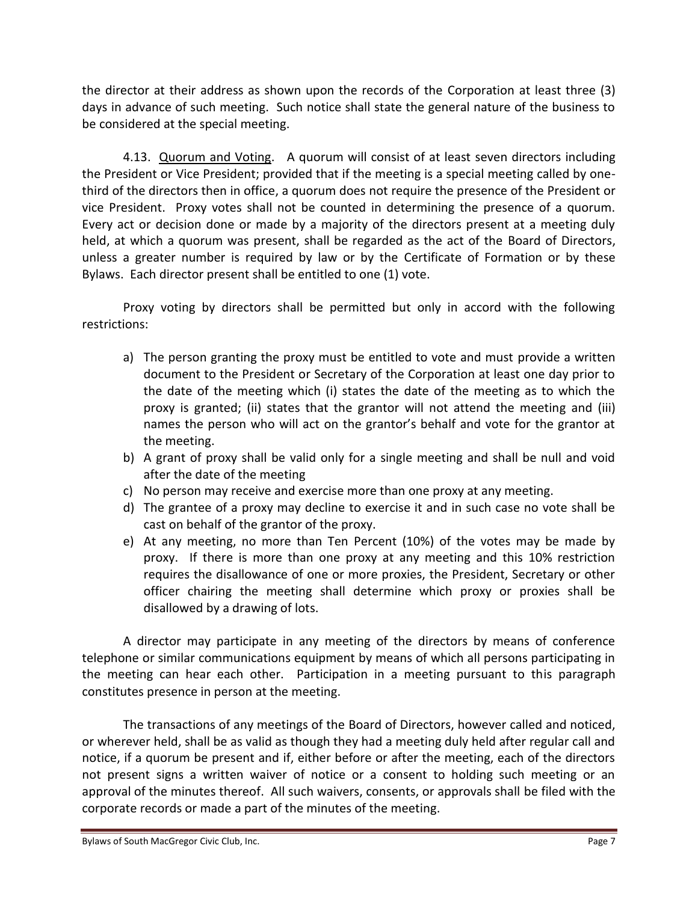the director at their address as shown upon the records of the Corporation at least three (3) days in advance of such meeting. Such notice shall state the general nature of the business to be considered at the special meeting.

4.13. Quorum and Voting. A quorum will consist of at least seven directors including the President or Vice President; provided that if the meeting is a special meeting called by onethird of the directors then in office, a quorum does not require the presence of the President or vice President. Proxy votes shall not be counted in determining the presence of a quorum. Every act or decision done or made by a majority of the directors present at a meeting duly held, at which a quorum was present, shall be regarded as the act of the Board of Directors, unless a greater number is required by law or by the Certificate of Formation or by these Bylaws. Each director present shall be entitled to one (1) vote.

Proxy voting by directors shall be permitted but only in accord with the following restrictions:

- a) The person granting the proxy must be entitled to vote and must provide a written document to the President or Secretary of the Corporation at least one day prior to the date of the meeting which (i) states the date of the meeting as to which the proxy is granted; (ii) states that the grantor will not attend the meeting and (iii) names the person who will act on the grantor's behalf and vote for the grantor at the meeting.
- b) A grant of proxy shall be valid only for a single meeting and shall be null and void after the date of the meeting
- c) No person may receive and exercise more than one proxy at any meeting.
- d) The grantee of a proxy may decline to exercise it and in such case no vote shall be cast on behalf of the grantor of the proxy.
- e) At any meeting, no more than Ten Percent (10%) of the votes may be made by proxy. If there is more than one proxy at any meeting and this 10% restriction requires the disallowance of one or more proxies, the President, Secretary or other officer chairing the meeting shall determine which proxy or proxies shall be disallowed by a drawing of lots.

A director may participate in any meeting of the directors by means of conference telephone or similar communications equipment by means of which all persons participating in the meeting can hear each other. Participation in a meeting pursuant to this paragraph constitutes presence in person at the meeting.

The transactions of any meetings of the Board of Directors, however called and noticed, or wherever held, shall be as valid as though they had a meeting duly held after regular call and notice, if a quorum be present and if, either before or after the meeting, each of the directors not present signs a written waiver of notice or a consent to holding such meeting or an approval of the minutes thereof. All such waivers, consents, or approvals shall be filed with the corporate records or made a part of the minutes of the meeting.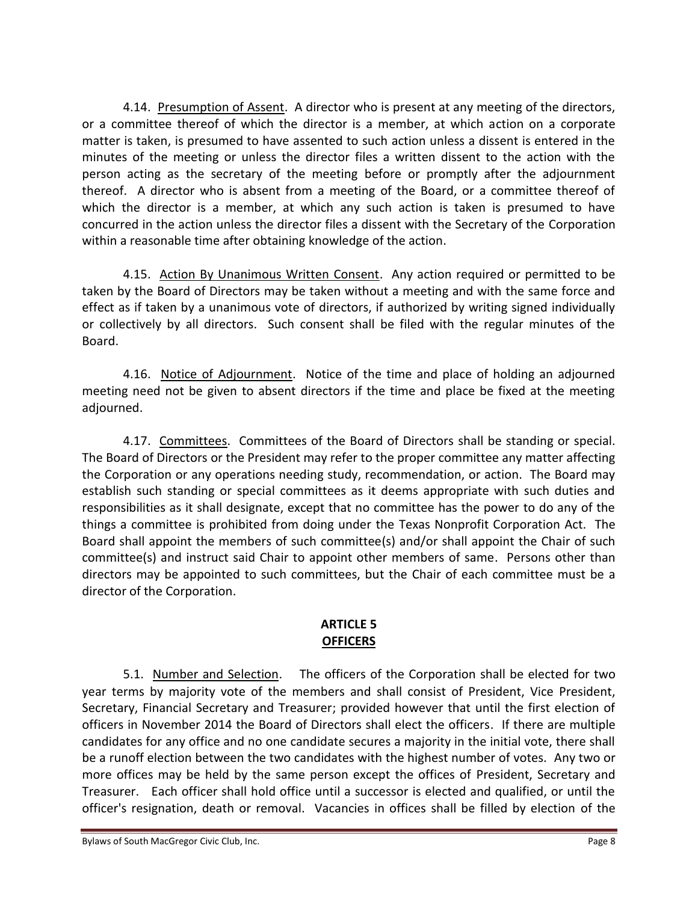4.14. Presumption of Assent. A director who is present at any meeting of the directors, or a committee thereof of which the director is a member, at which action on a corporate matter is taken, is presumed to have assented to such action unless a dissent is entered in the minutes of the meeting or unless the director files a written dissent to the action with the person acting as the secretary of the meeting before or promptly after the adjournment thereof. A director who is absent from a meeting of the Board, or a committee thereof of which the director is a member, at which any such action is taken is presumed to have concurred in the action unless the director files a dissent with the Secretary of the Corporation within a reasonable time after obtaining knowledge of the action.

4.15. Action By Unanimous Written Consent. Any action required or permitted to be taken by the Board of Directors may be taken without a meeting and with the same force and effect as if taken by a unanimous vote of directors, if authorized by writing signed individually or collectively by all directors. Such consent shall be filed with the regular minutes of the Board.

4.16. Notice of Adjournment. Notice of the time and place of holding an adjourned meeting need not be given to absent directors if the time and place be fixed at the meeting adjourned.

4.17. Committees. Committees of the Board of Directors shall be standing or special. The Board of Directors or the President may refer to the proper committee any matter affecting the Corporation or any operations needing study, recommendation, or action. The Board may establish such standing or special committees as it deems appropriate with such duties and responsibilities as it shall designate, except that no committee has the power to do any of the things a committee is prohibited from doing under the Texas Nonprofit Corporation Act. The Board shall appoint the members of such committee(s) and/or shall appoint the Chair of such committee(s) and instruct said Chair to appoint other members of same. Persons other than directors may be appointed to such committees, but the Chair of each committee must be a director of the Corporation.

# **ARTICLE 5 OFFICERS**

5.1. Number and Selection. The officers of the Corporation shall be elected for two year terms by majority vote of the members and shall consist of President, Vice President, Secretary, Financial Secretary and Treasurer; provided however that until the first election of officers in November 2014 the Board of Directors shall elect the officers. If there are multiple candidates for any office and no one candidate secures a majority in the initial vote, there shall be a runoff election between the two candidates with the highest number of votes. Any two or more offices may be held by the same person except the offices of President, Secretary and Treasurer. Each officer shall hold office until a successor is elected and qualified, or until the officer's resignation, death or removal. Vacancies in offices shall be filled by election of the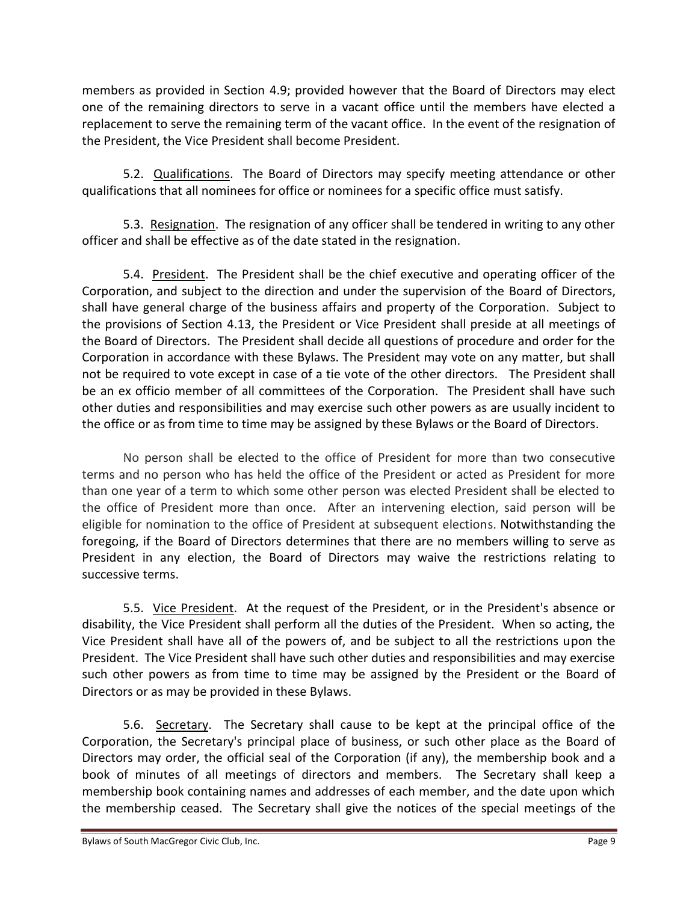members as provided in Section 4.9; provided however that the Board of Directors may elect one of the remaining directors to serve in a vacant office until the members have elected a replacement to serve the remaining term of the vacant office. In the event of the resignation of the President, the Vice President shall become President.

5.2. Qualifications. The Board of Directors may specify meeting attendance or other qualifications that all nominees for office or nominees for a specific office must satisfy.

5.3. Resignation. The resignation of any officer shall be tendered in writing to any other officer and shall be effective as of the date stated in the resignation.

5.4. President. The President shall be the chief executive and operating officer of the Corporation, and subject to the direction and under the supervision of the Board of Directors, shall have general charge of the business affairs and property of the Corporation. Subject to the provisions of Section 4.13, the President or Vice President shall preside at all meetings of the Board of Directors. The President shall decide all questions of procedure and order for the Corporation in accordance with these Bylaws. The President may vote on any matter, but shall not be required to vote except in case of a tie vote of the other directors. The President shall be an ex officio member of all committees of the Corporation. The President shall have such other duties and responsibilities and may exercise such other powers as are usually incident to the office or as from time to time may be assigned by these Bylaws or the Board of Directors.

No person shall be elected to the office of President for more than two consecutive terms and no person who has held the office of the President or acted as President for more than one year of a term to which some other person was elected President shall be elected to the office of President more than once. After an intervening election, said person will be eligible for nomination to the office of President at subsequent elections. Notwithstanding the foregoing, if the Board of Directors determines that there are no members willing to serve as President in any election, the Board of Directors may waive the restrictions relating to successive terms.

5.5. Vice President. At the request of the President, or in the President's absence or disability, the Vice President shall perform all the duties of the President. When so acting, the Vice President shall have all of the powers of, and be subject to all the restrictions upon the President. The Vice President shall have such other duties and responsibilities and may exercise such other powers as from time to time may be assigned by the President or the Board of Directors or as may be provided in these Bylaws.

5.6. Secretary. The Secretary shall cause to be kept at the principal office of the Corporation, the Secretary's principal place of business, or such other place as the Board of Directors may order, the official seal of the Corporation (if any), the membership book and a book of minutes of all meetings of directors and members. The Secretary shall keep a membership book containing names and addresses of each member, and the date upon which the membership ceased. The Secretary shall give the notices of the special meetings of the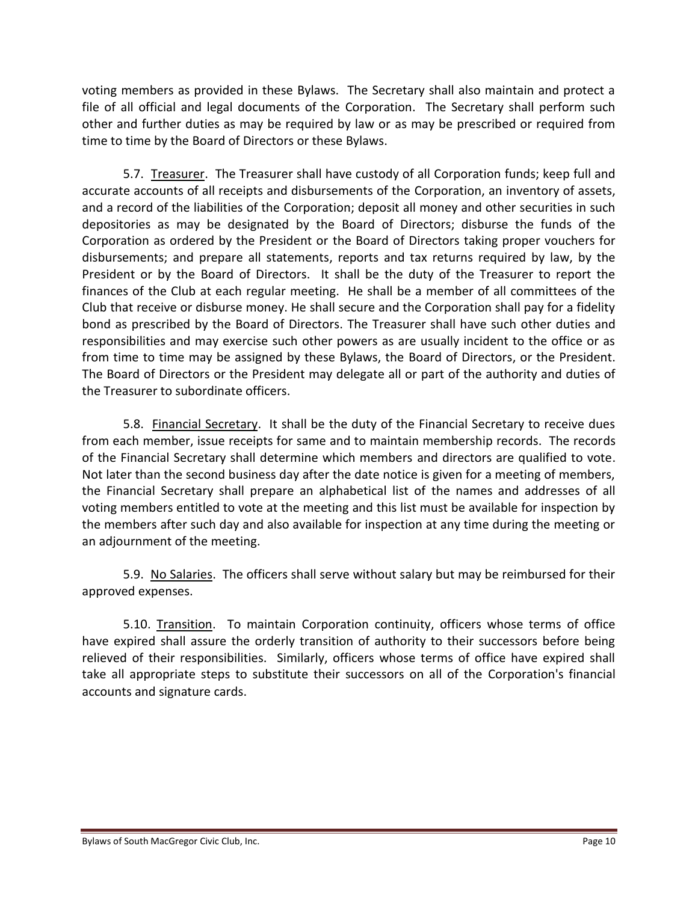voting members as provided in these Bylaws. The Secretary shall also maintain and protect a file of all official and legal documents of the Corporation. The Secretary shall perform such other and further duties as may be required by law or as may be prescribed or required from time to time by the Board of Directors or these Bylaws.

5.7. Treasurer. The Treasurer shall have custody of all Corporation funds; keep full and accurate accounts of all receipts and disbursements of the Corporation, an inventory of assets, and a record of the liabilities of the Corporation; deposit all money and other securities in such depositories as may be designated by the Board of Directors; disburse the funds of the Corporation as ordered by the President or the Board of Directors taking proper vouchers for disbursements; and prepare all statements, reports and tax returns required by law, by the President or by the Board of Directors. It shall be the duty of the Treasurer to report the finances of the Club at each regular meeting. He shall be a member of all committees of the Club that receive or disburse money. He shall secure and the Corporation shall pay for a fidelity bond as prescribed by the Board of Directors. The Treasurer shall have such other duties and responsibilities and may exercise such other powers as are usually incident to the office or as from time to time may be assigned by these Bylaws, the Board of Directors, or the President. The Board of Directors or the President may delegate all or part of the authority and duties of the Treasurer to subordinate officers.

5.8. Financial Secretary. It shall be the duty of the Financial Secretary to receive dues from each member, issue receipts for same and to maintain membership records. The records of the Financial Secretary shall determine which members and directors are qualified to vote. Not later than the second business day after the date notice is given for a meeting of members, the Financial Secretary shall prepare an alphabetical list of the names and addresses of all voting members entitled to vote at the meeting and this list must be available for inspection by the members after such day and also available for inspection at any time during the meeting or an adjournment of the meeting.

5.9. No Salaries. The officers shall serve without salary but may be reimbursed for their approved expenses.

5.10. Transition. To maintain Corporation continuity, officers whose terms of office have expired shall assure the orderly transition of authority to their successors before being relieved of their responsibilities. Similarly, officers whose terms of office have expired shall take all appropriate steps to substitute their successors on all of the Corporation's financial accounts and signature cards.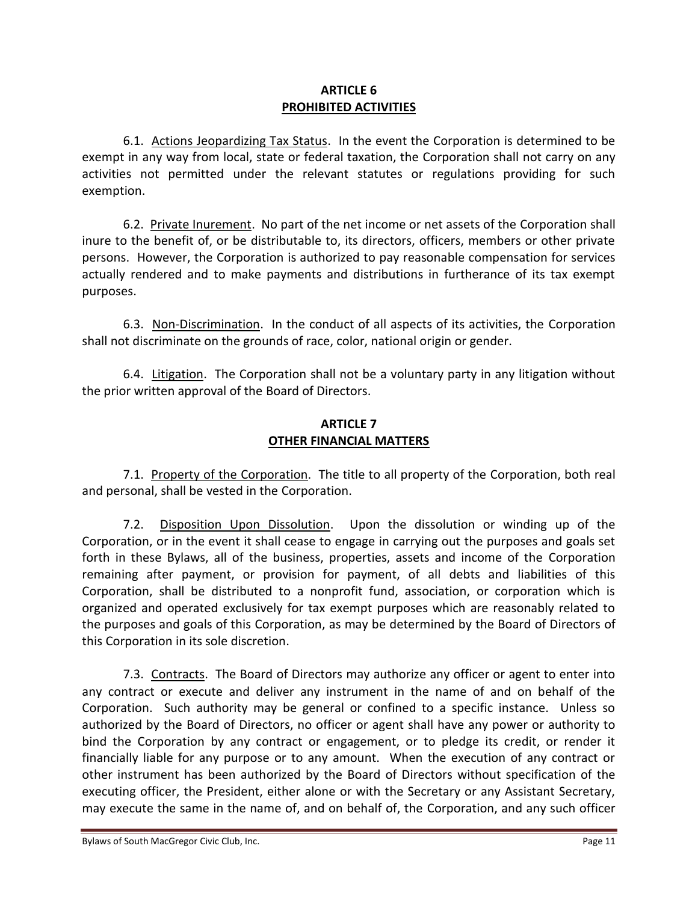### **ARTICLE 6 PROHIBITED ACTIVITIES**

6.1. Actions Jeopardizing Tax Status. In the event the Corporation is determined to be exempt in any way from local, state or federal taxation, the Corporation shall not carry on any activities not permitted under the relevant statutes or regulations providing for such exemption.

6.2. Private Inurement. No part of the net income or net assets of the Corporation shall inure to the benefit of, or be distributable to, its directors, officers, members or other private persons. However, the Corporation is authorized to pay reasonable compensation for services actually rendered and to make payments and distributions in furtherance of its tax exempt purposes.

6.3. Non-Discrimination. In the conduct of all aspects of its activities, the Corporation shall not discriminate on the grounds of race, color, national origin or gender.

6.4. Litigation. The Corporation shall not be a voluntary party in any litigation without the prior written approval of the Board of Directors.

### **ARTICLE 7 OTHER FINANCIAL MATTERS**

7.1. Property of the Corporation. The title to all property of the Corporation, both real and personal, shall be vested in the Corporation.

7.2. Disposition Upon Dissolution. Upon the dissolution or winding up of the Corporation, or in the event it shall cease to engage in carrying out the purposes and goals set forth in these Bylaws, all of the business, properties, assets and income of the Corporation remaining after payment, or provision for payment, of all debts and liabilities of this Corporation, shall be distributed to a nonprofit fund, association, or corporation which is organized and operated exclusively for tax exempt purposes which are reasonably related to the purposes and goals of this Corporation, as may be determined by the Board of Directors of this Corporation in its sole discretion.

7.3. Contracts. The Board of Directors may authorize any officer or agent to enter into any contract or execute and deliver any instrument in the name of and on behalf of the Corporation. Such authority may be general or confined to a specific instance. Unless so authorized by the Board of Directors, no officer or agent shall have any power or authority to bind the Corporation by any contract or engagement, or to pledge its credit, or render it financially liable for any purpose or to any amount. When the execution of any contract or other instrument has been authorized by the Board of Directors without specification of the executing officer, the President, either alone or with the Secretary or any Assistant Secretary, may execute the same in the name of, and on behalf of, the Corporation, and any such officer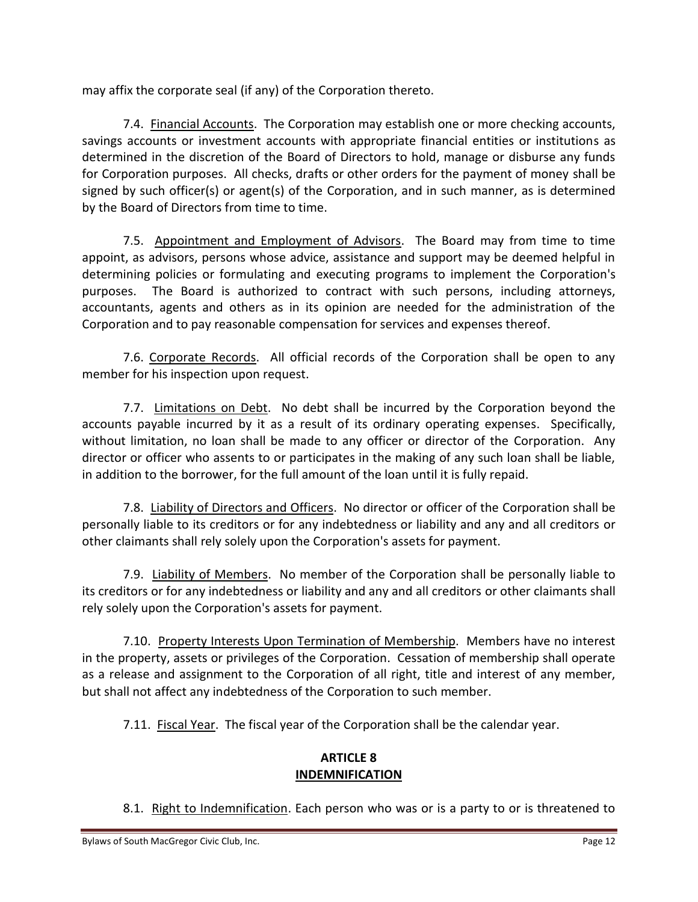may affix the corporate seal (if any) of the Corporation thereto.

7.4. Financial Accounts. The Corporation may establish one or more checking accounts, savings accounts or investment accounts with appropriate financial entities or institutions as determined in the discretion of the Board of Directors to hold, manage or disburse any funds for Corporation purposes. All checks, drafts or other orders for the payment of money shall be signed by such officer(s) or agent(s) of the Corporation, and in such manner, as is determined by the Board of Directors from time to time.

7.5. Appointment and Employment of Advisors. The Board may from time to time appoint, as advisors, persons whose advice, assistance and support may be deemed helpful in determining policies or formulating and executing programs to implement the Corporation's purposes. The Board is authorized to contract with such persons, including attorneys, accountants, agents and others as in its opinion are needed for the administration of the Corporation and to pay reasonable compensation for services and expenses thereof.

7.6. Corporate Records. All official records of the Corporation shall be open to any member for his inspection upon request.

7.7. Limitations on Debt. No debt shall be incurred by the Corporation beyond the accounts payable incurred by it as a result of its ordinary operating expenses. Specifically, without limitation, no loan shall be made to any officer or director of the Corporation. Any director or officer who assents to or participates in the making of any such loan shall be liable, in addition to the borrower, for the full amount of the loan until it is fully repaid.

7.8. Liability of Directors and Officers. No director or officer of the Corporation shall be personally liable to its creditors or for any indebtedness or liability and any and all creditors or other claimants shall rely solely upon the Corporation's assets for payment.

7.9. Liability of Members. No member of the Corporation shall be personally liable to its creditors or for any indebtedness or liability and any and all creditors or other claimants shall rely solely upon the Corporation's assets for payment.

7.10. Property Interests Upon Termination of Membership. Members have no interest in the property, assets or privileges of the Corporation. Cessation of membership shall operate as a release and assignment to the Corporation of all right, title and interest of any member, but shall not affect any indebtedness of the Corporation to such member.

7.11. Fiscal Year. The fiscal year of the Corporation shall be the calendar year.

# **ARTICLE 8 INDEMNIFICATION**

8.1. Right to Indemnification. Each person who was or is a party to or is threatened to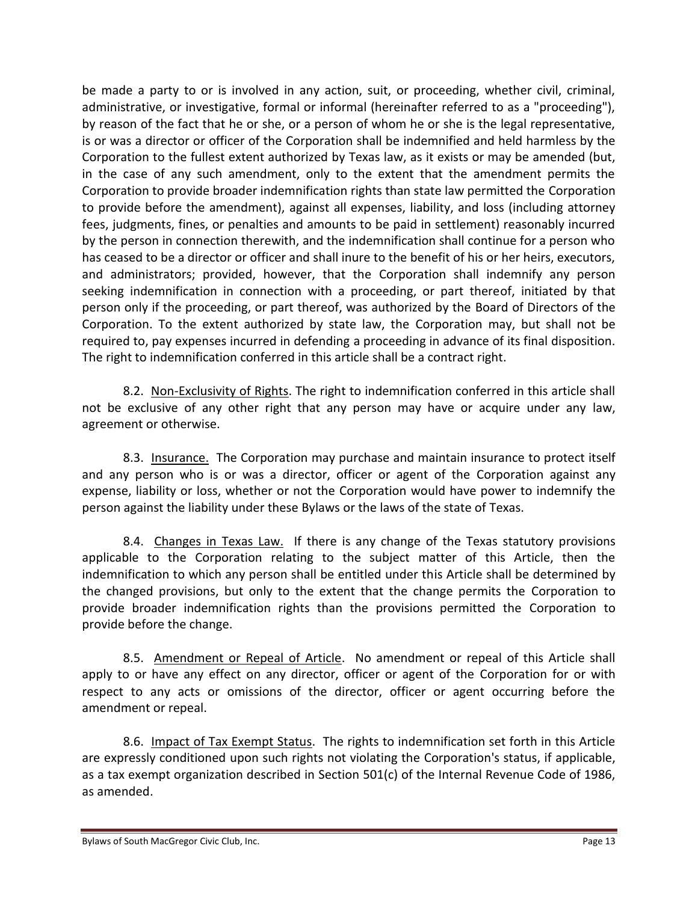be made a party to or is involved in any action, suit, or proceeding, whether civil, criminal, administrative, or investigative, formal or informal (hereinafter referred to as a "proceeding"), by reason of the fact that he or she, or a person of whom he or she is the legal representative, is or was a director or officer of the Corporation shall be indemnified and held harmless by the Corporation to the fullest extent authorized by Texas law, as it exists or may be amended (but, in the case of any such amendment, only to the extent that the amendment permits the Corporation to provide broader indemnification rights than state law permitted the Corporation to provide before the amendment), against all expenses, liability, and loss (including attorney fees, judgments, fines, or penalties and amounts to be paid in settlement) reasonably incurred by the person in connection therewith, and the indemnification shall continue for a person who has ceased to be a director or officer and shall inure to the benefit of his or her heirs, executors, and administrators; provided, however, that the Corporation shall indemnify any person seeking indemnification in connection with a proceeding, or part thereof, initiated by that person only if the proceeding, or part thereof, was authorized by the Board of Directors of the Corporation. To the extent authorized by state law, the Corporation may, but shall not be required to, pay expenses incurred in defending a proceeding in advance of its final disposition. The right to indemnification conferred in this article shall be a contract right.

8.2. Non-Exclusivity of Rights. The right to indemnification conferred in this article shall not be exclusive of any other right that any person may have or acquire under any law, agreement or otherwise.

8.3. Insurance. The Corporation may purchase and maintain insurance to protect itself and any person who is or was a director, officer or agent of the Corporation against any expense, liability or loss, whether or not the Corporation would have power to indemnify the person against the liability under these Bylaws or the laws of the state of Texas.

8.4. Changes in Texas Law. If there is any change of the Texas statutory provisions applicable to the Corporation relating to the subject matter of this Article, then the indemnification to which any person shall be entitled under this Article shall be determined by the changed provisions, but only to the extent that the change permits the Corporation to provide broader indemnification rights than the provisions permitted the Corporation to provide before the change.

8.5. Amendment or Repeal of Article. No amendment or repeal of this Article shall apply to or have any effect on any director, officer or agent of the Corporation for or with respect to any acts or omissions of the director, officer or agent occurring before the amendment or repeal.

8.6. Impact of Tax Exempt Status. The rights to indemnification set forth in this Article are expressly conditioned upon such rights not violating the Corporation's status, if applicable, as a tax exempt organization described in Section 501(c) of the Internal Revenue Code of 1986, as amended.